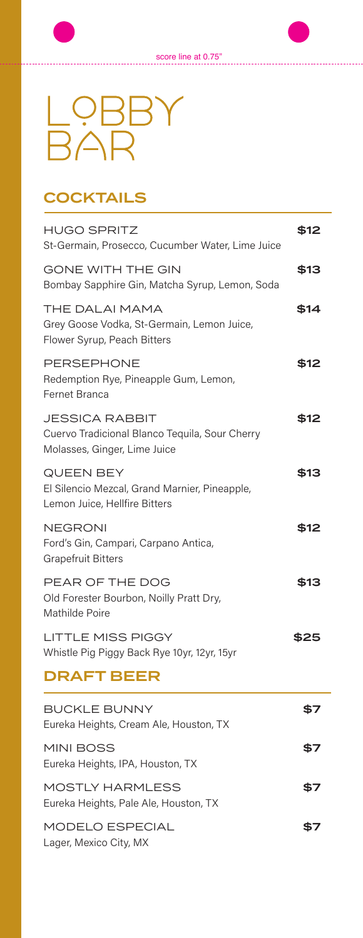

# LOBBY<br>BAR

## **COCKTAILS**

| <b>HUGO SPRITZ</b><br>St-Germain, Prosecco, Cucumber Water, Lime Juice                                  | \$12 |
|---------------------------------------------------------------------------------------------------------|------|
| <b>GONE WITH THE GIN</b><br>Bombay Sapphire Gin, Matcha Syrup, Lemon, Soda                              | \$13 |
| THE DALAI MAMA<br>Grey Goose Vodka, St-Germain, Lemon Juice,<br>Flower Syrup, Peach Bitters             | \$14 |
| <b>PERSEPHONE</b><br>Redemption Rye, Pineapple Gum, Lemon,<br>Fernet Branca                             | \$12 |
| <b>JESSICA RABBIT</b><br>Cuervo Tradicional Blanco Tequila, Sour Cherry<br>Molasses, Ginger, Lime Juice | \$12 |
| <b>QUEEN BEY</b><br>El Silencio Mezcal, Grand Marnier, Pineapple,<br>Lemon Juice, Hellfire Bitters      | \$13 |
| <b>NEGRONI</b><br>Ford's Gin, Campari, Carpano Antica,<br><b>Grapefruit Bitters</b>                     | \$12 |
| PEAR OF THE DOG<br>Old Forester Bourbon, Noilly Pratt Dry,<br>Mathilde Poire                            | \$13 |
| <b>LITTLE MISS PIGGY</b><br>Whistle Pig Piggy Back Rye 10yr, 12yr, 15yr                                 | \$25 |
| <b>DRAFT BEER</b>                                                                                       |      |
| <b>BUCKLE BUNNY</b><br>Eureka Heights, Cream Ale, Houston, TX                                           | \$7  |
| <b>MINI BOSS</b><br>Eureka Heights, IPA, Houston, TX                                                    | \$7  |
| <b>MOSTLY HARMLESS</b><br>Eureka Heights, Pale Ale, Houston, TX                                         | \$7  |
| MODELO ESPECIAL                                                                                         | \$7  |

Lager, Mexico City, MX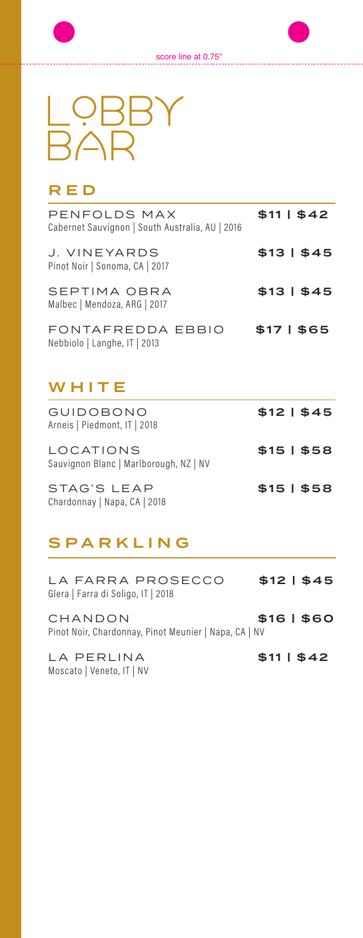. . . . . . . . . . . . . .



### RED

| PENFOLDS MAX<br>Cabernet Sauvignon   South Australia, AU   2016 | $$11 \mid $42$ |
|-----------------------------------------------------------------|----------------|
| J. VINEYARDS<br>Pinot Noir   Sonoma, CA   2017                  | \$13   \$45    |
| SEPTIMA OBRA<br>Malbec   Mendoza, ARG   2017                    | \$13   \$45    |
| FONTAFREDDA EBBIO<br>Nebbiolo   Langhe, IT   2013               | \$17   \$65    |

## WHITE

| GUIDOBONO<br>Arneis   Piedmont, IT   2018                  | \$12   \$45 |
|------------------------------------------------------------|-------------|
| <b>LOCATIONS</b><br>Sauvignon Blanc   Marlborough, NZ   NV | $$15 \$58$  |
| STAG'S LEAP<br>Chardonnay   Napa, CA   2018                | $$15 \$58$  |

# SPARKLING

| LA FARRA PROSECCO                  | \$12   \$45 |
|------------------------------------|-------------|
| Glera   Farra di Soligo, IT   2018 |             |

CHANDON \$16 | \$60 Pinot Noir, Chardonnay, Pinot Meunier | Napa, CA | NV

LA PERLINA  $$11 | $42$ Moscato | Veneto, IT | NV